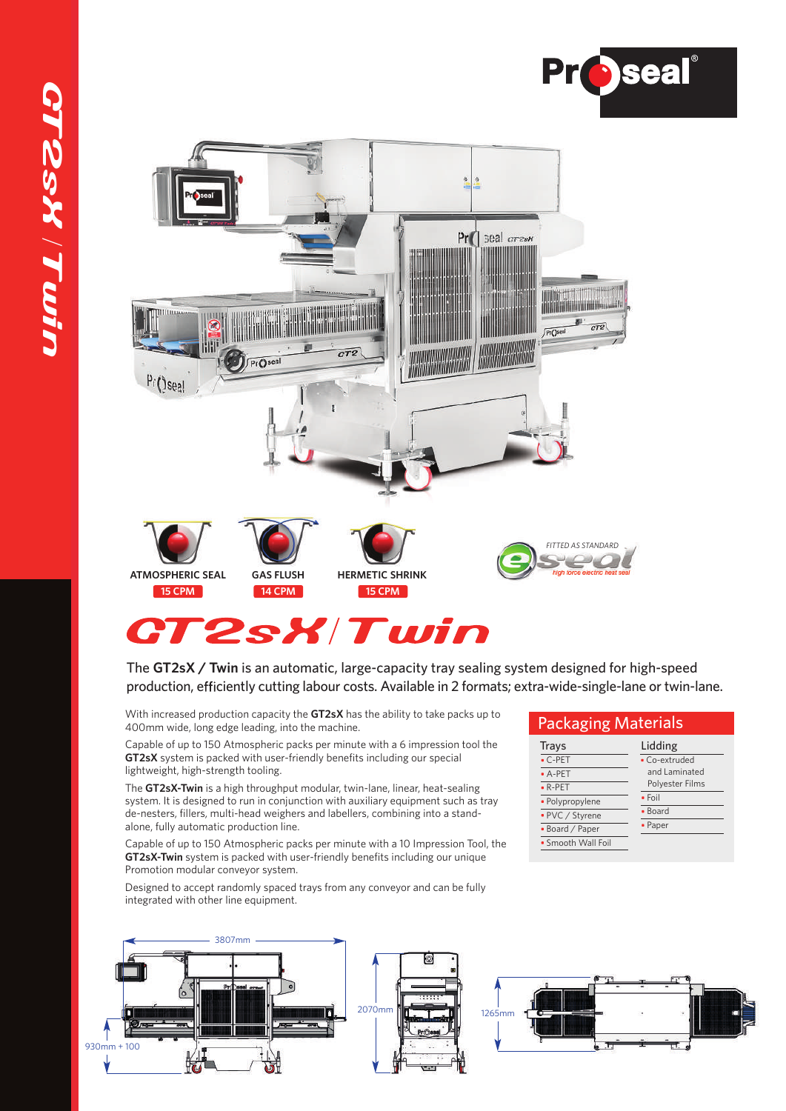



# T2sX/Twin

The **GT2sX / Twin** is an automatic, large-capacity tray sealing system designed for high-speed production, efficiently cutting labour costs. Available in 2 formats; extra-wide-single-lane or twin-lane.

With increased production capacity the **GT2sX** has the ability to take packs up to 400mm wide, long edge leading, into the machine.

Capable of up to 150 Atmospheric packs per minute with a 6 impression tool the **GT2sX** system is packed with user-friendly benefits including our special lightweight, high-strength tooling.

The **GT2sX-Twin** is a high throughput modular, twin-lane, linear, heat-sealing system. It is designed to run in conjunction with auxiliary equipment such as tray de-nesters, fillers, multi-head weighers and labellers, combining into a standalone, fully automatic production line.

Capable of up to 150 Atmospheric packs per minute with a 10 Impression Tool, the **GT2sX-Twin** system is packed with user-friendly benefits including our unique Promotion modular conveyor system.

Designed to accept randomly spaced trays from any conveyor and can be fully integrated with other line equipment.



|  | <b>Packaging Materials</b> |  |
|--|----------------------------|--|
|  |                            |  |

| Trays              | Lidding         |  |  |
|--------------------|-----------------|--|--|
| $\cdot$ C-PET      | • Co-extruded   |  |  |
| $-A-PET$           | and Laminated   |  |  |
| $\bullet$ R-PET    | Polyester Films |  |  |
| · Polypropylene    | $\bullet$ Foil  |  |  |
| • PVC / Styrene    | • Board         |  |  |
| • Board / Paper    | • Paper         |  |  |
| • Smooth Wall Foil |                 |  |  |
|                    |                 |  |  |

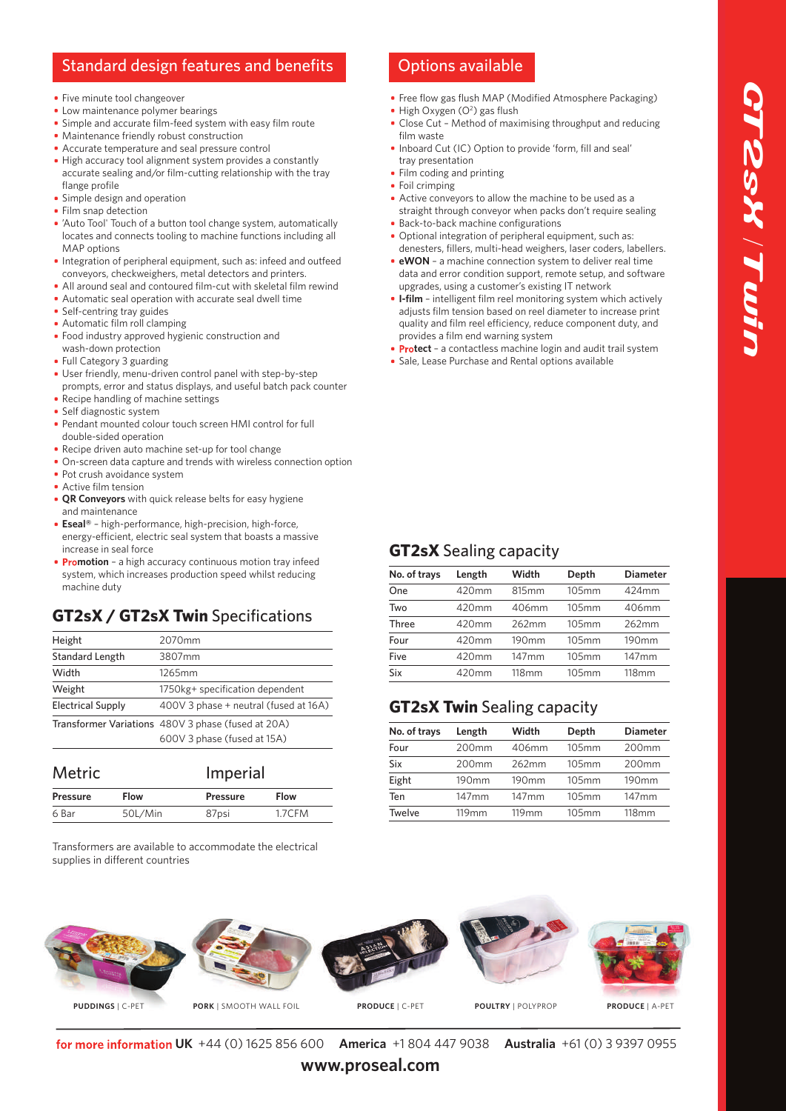## Standard design features and benefits Options available

- Five minute tool changeover
- Low maintenance polymer bearings
- Simple and accurate film-feed system with easy film route
- Maintenance friendly robust construction
- Accurate temperature and seal pressure control
- High accuracy tool alignment system provides a constantly accurate sealing and/or film-cutting relationship with the tray flange profile
- **Simple design and operation**
- Film snap detection
- 'Auto Tool' Touch of a button tool change system, automatically locates and connects tooling to machine functions including all MAP options
- **Integration of peripheral equipment, such as: infeed and outfeed** conveyors, checkweighers, metal detectors and printers.
- All around seal and contoured film-cut with skeletal film rewind
- Automatic seal operation with accurate seal dwell time
- Self-centring tray guides
- Automatic film roll clamping
- Food industry approved hygienic construction and wash-down protection
- Full Category 3 guarding
- User friendly, menu-driven control panel with step-by-step prompts, error and status displays, and useful batch pack counter
- Recipe handling of machine settings
- Self diagnostic system
- Pendant mounted colour touch screen HMI control for full double-sided operation
- Recipe driven auto machine set-up for tool change
- On-screen data capture and trends with wireless connection option
- Pot crush avoidance system
- Active film tension
- **QR Conveyors** with quick release belts for easy hygiene and maintenance
- **Eseal®** high-performance, high-precision, high-force, energy-efficient, electric seal system that boasts a massive increase in seal force
- **Promotion** a high accuracy continuous motion tray infeed system, which increases production speed whilst reducing machine duty

## **GT2sX / GT2sX Twin** Specifications

| Height                   | 2070mm                                             |
|--------------------------|----------------------------------------------------|
| <b>Standard Length</b>   | 3807mm                                             |
| Width                    | 1265mm                                             |
| Weight                   | 1750kg+ specification dependent                    |
| <b>Electrical Supply</b> | 400V 3 phase + neutral (fused at 16A)              |
|                          | Transformer Variations 480V 3 phase (fused at 20A) |
|                          | 600V 3 phase (fused at 15A)                        |

| <b>Metric</b>   |             | Imperial        |             |
|-----------------|-------------|-----------------|-------------|
| <b>Pressure</b> | <b>Flow</b> | <b>Pressure</b> | <b>Flow</b> |
| 6 Bar           | 50L/Min     | 87psi           | 1.7CFM      |

Transformers are available to accommodate the electrical supplies in different countries

- Free flow gas flush MAP (Modified Atmosphere Packaging) High Oxygen (O<sup>2</sup>) gas flush
- Close Cut Method of maximising throughput and reducing film waste
- Inboard Cut (IC) Option to provide 'form, fill and seal' tray presentation
- Film coding and printing
- Foil crimping
- Active conveyors to allow the machine to be used as a straight through conveyor when packs don't require sealing
- **Back-to-back machine configurations** Optional integration of peripheral equipment, such as: denesters, fillers, multi-head weighers, laser coders, labellers.
- **eWON** a machine connection system to deliver real time data and error condition support, remote setup, and software upgrades, using a customer's existing IT network
- **I-film** intelligent film reel monitoring system which actively adjusts film tension based on reel diameter to increase print quality and film reel efficiency, reduce component duty, and provides a film end warning system
- **Protect** a contactless machine login and audit trail system
- **Sale, Lease Purchase and Rental options available**

| No. of trays | Length   | Width    | Depth | <b>Diameter</b>   |
|--------------|----------|----------|-------|-------------------|
| One          | 420mm    | 815mm    | 105mm | 424mm             |
| Two          | 420mm    | 406mm    | 105mm | 406mm             |
| Three        | $420$ mm | 262mm    | 105mm | 262mm             |
| Four         | $420$ mm | 190mm    | 105mm | 190 <sub>mm</sub> |
| Five         | $420$ mm | $147$ mm | 105mm | $147$ mm          |
| Six          | 420mm    | 118mm    | 105mm | 118mm             |
|              |          |          |       |                   |

## **GT2sX Twin** Sealing capacity

**GT2sX** Sealing capacity

| No. of trays  | Length            | Width             | Depth | <b>Diameter</b>   |
|---------------|-------------------|-------------------|-------|-------------------|
| Four          | 200 <sub>mm</sub> | 406mm             | 105mm | 200 <sub>mm</sub> |
| Six           | 200 <sub>mm</sub> | 262mm             | 105mm | 200 <sub>mm</sub> |
| Eight         | 190 <sub>mm</sub> | 190 <sub>mm</sub> | 105mm | 190 <sub>mm</sub> |
| Ten           | $147$ mm          | $147$ mm          | 105mm | $147$ mm          |
| <b>Twelve</b> | 119mm             | 119 <sub>mm</sub> | 105mm | 118mm             |
|               |                   |                   |       |                   |



**UK** +44 (0) 1625 856 600 **America** +1 804 447 9038 **Australia** +61 (0) 3 9397 0955

**www.proseal.com**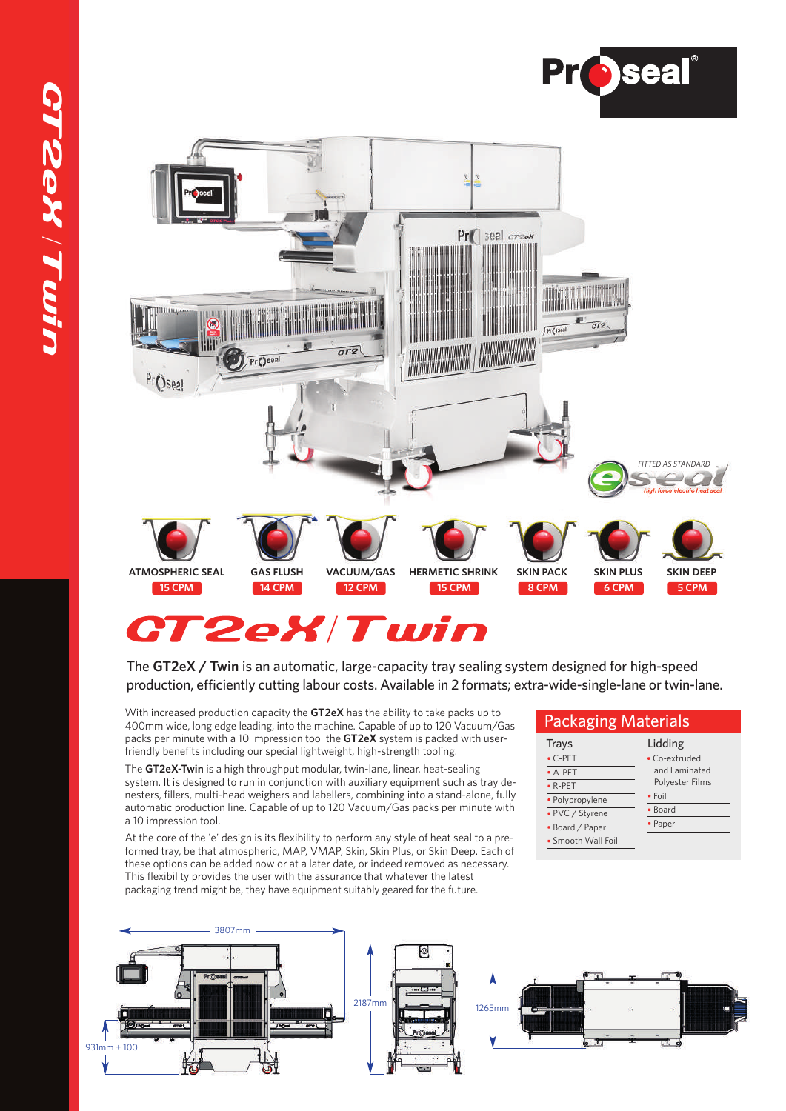



# **CT2eX/Twin**

The **GT2eX / Twin** is an automatic, large-capacity tray sealing system designed for high-speed production, efficiently cutting labour costs. Available in 2 formats; extra-wide-single-lane or twin-lane.

With increased production capacity the **GT2eX** has the ability to take packs up to 400mm wide, long edge leading, into the machine. Capable of up to 120 Vacuum/Gas packs per minute with a 10 impression tool the **GT2eX** system is packed with userfriendly benefits including our special lightweight, high-strength tooling.

The **GT2eX-Twin** is a high throughput modular, twin-lane, linear, heat-sealing system. It is designed to run in conjunction with auxiliary equipment such as tray denesters, fillers, multi-head weighers and labellers, combining into a stand-alone, fully automatic production line. Capable of up to 120 Vacuum/Gas packs per minute with a 10 impression tool.

At the core of the 'e' design is its flexibility to perform any style of heat seal to a preformed tray, be that atmospheric, MAP, VMAP, Skin, Skin Plus, or Skin Deep. Each of these options can be added now or at a later date, or indeed removed as necessary. This flexibility provides the user with the assurance that whatever the latest packaging trend might be, they have equipment suitably geared for the future.

## **Trays** C-PET A-PET R-PET Polypropylene PVC / Styrene Board / Paper Smooth Wall Foil Lidding Co-extruded and Laminated Polyester Films  $\overline{\cdot$  Foil Board Paper Packaging Materials